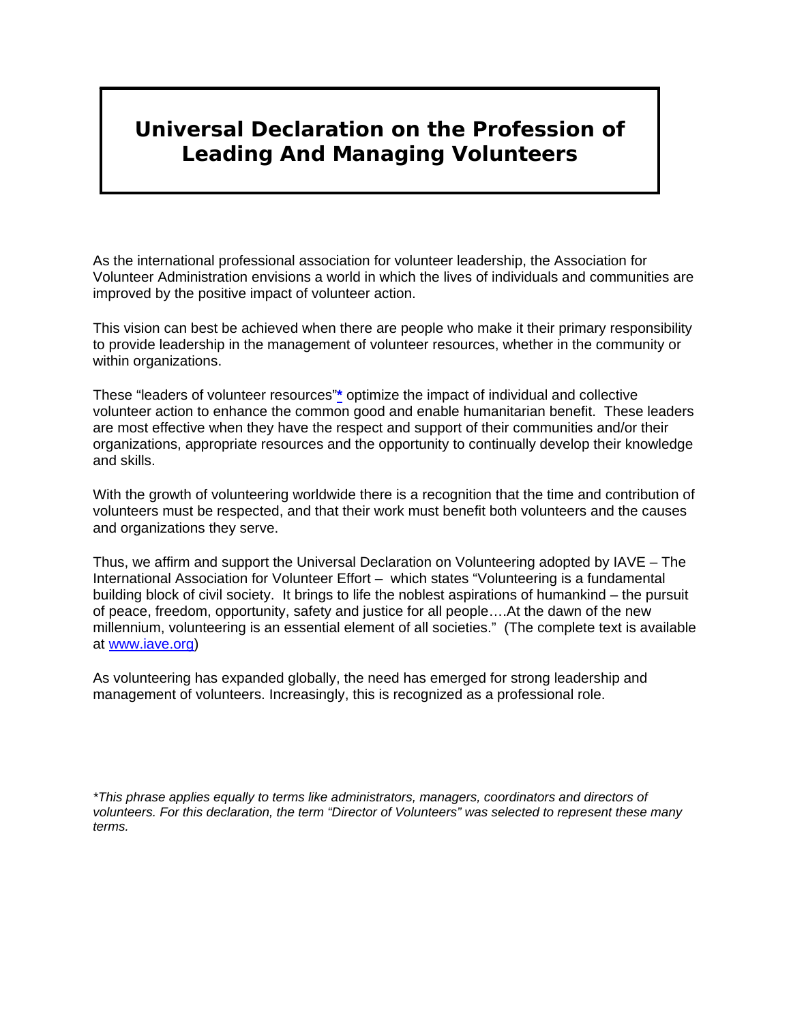# **Universal Declaration on the Profession of Leading And Managing Volunteers**

As the international professional association for volunteer leadership, the Association for Volunteer Administration envisions a world in which the lives of individuals and communities are improved by the positive impact of volunteer action.

This vision can best be achieved when there are people who make it their primary responsibility to provide leadership in the management of volunteer resources, whether in the community or within organizations.

These "leaders of volunteer resources"**[\\*](http://www.avaintl.org/advocacy/declarationprint.html#footnote)** optimize the impact of individual and collective volunteer action to enhance the common good and enable humanitarian benefit. These leaders are most effective when they have the respect and support of their communities and/or their organizations, appropriate resources and the opportunity to continually develop their knowledge and skills.

With the growth of volunteering worldwide there is a recognition that the time and contribution of volunteers must be respected, and that their work must benefit both volunteers and the causes and organizations they serve.

Thus, we affirm and support the Universal Declaration on Volunteering adopted by IAVE – The International Association for Volunteer Effort – which states "Volunteering is a fundamental building block of civil society. It brings to life the noblest aspirations of humankind – the pursuit of peace, freedom, opportunity, safety and justice for all people….At the dawn of the new millennium, volunteering is an essential element of all societies." (The complete text is available at [www.iave.org](http://www.iave.org/))

As volunteering has expanded globally, the need has emerged for strong leadership and management of volunteers. Increasingly, this is recognized as a professional role.

*\*This phrase applies equally to terms like administrators, managers, coordinators and directors of volunteers. For this declaration, the term "Director of Volunteers" was selected to represent these many terms.*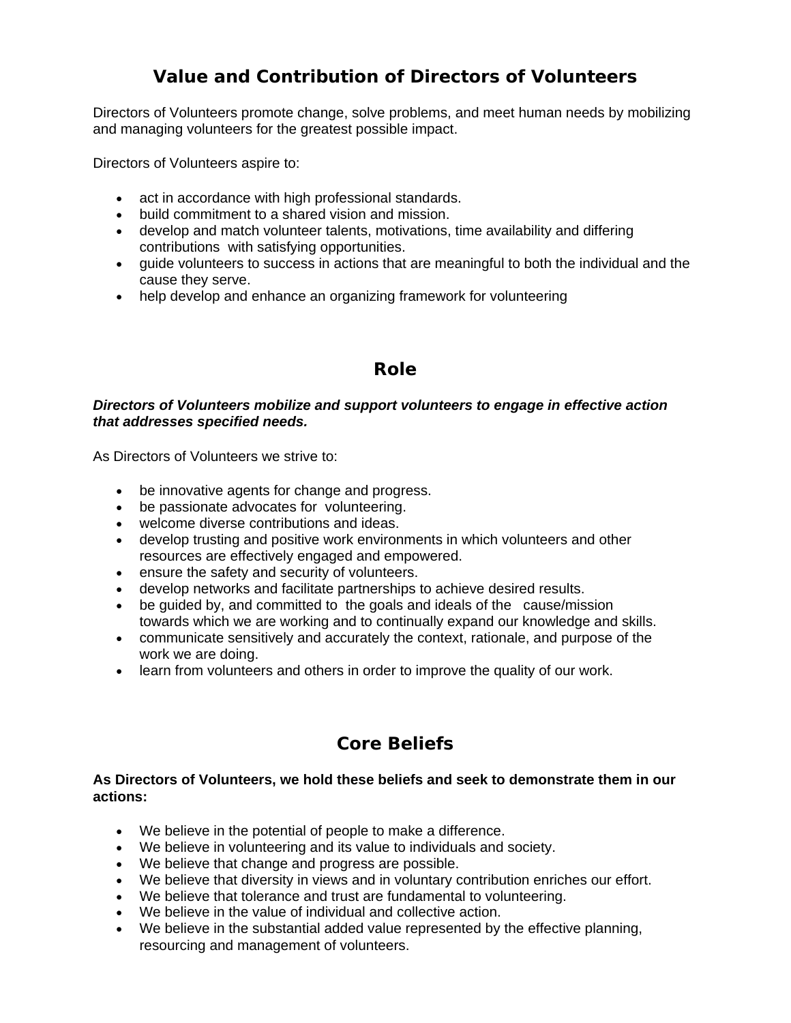## **Value and Contribution of Directors of Volunteers**

Directors of Volunteers promote change, solve problems, and meet human needs by mobilizing and managing volunteers for the greatest possible impact.

Directors of Volunteers aspire to:

- act in accordance with high professional standards.
- build commitment to a shared vision and mission.
- develop and match volunteer talents, motivations, time availability and differing contributions with satisfying opportunities.
- guide volunteers to success in actions that are meaningful to both the individual and the cause they serve.
- help develop and enhance an organizing framework for volunteering

### **Role**

#### *Directors of Volunteers mobilize and support volunteers to engage in effective action that addresses specified needs.*

As Directors of Volunteers we strive to:

- be innovative agents for change and progress.
- be passionate advocates for volunteering.
- welcome diverse contributions and ideas.
- develop trusting and positive work environments in which volunteers and other resources are effectively engaged and empowered.
- ensure the safety and security of volunteers.
- develop networks and facilitate partnerships to achieve desired results.
- be guided by, and committed to the goals and ideals of the cause/mission towards which we are working and to continually expand our knowledge and skills.
- communicate sensitively and accurately the context, rationale, and purpose of the work we are doing.
- learn from volunteers and others in order to improve the quality of our work.

## **Core Beliefs**

#### **As Directors of Volunteers, we hold these beliefs and seek to demonstrate them in our actions:**

- We believe in the potential of people to make a difference.
- We believe in volunteering and its value to individuals and society.
- We believe that change and progress are possible.
- We believe that diversity in views and in voluntary contribution enriches our effort.
- We believe that tolerance and trust are fundamental to volunteering.
- We believe in the value of individual and collective action.
- We believe in the substantial added value represented by the effective planning, resourcing and management of volunteers.